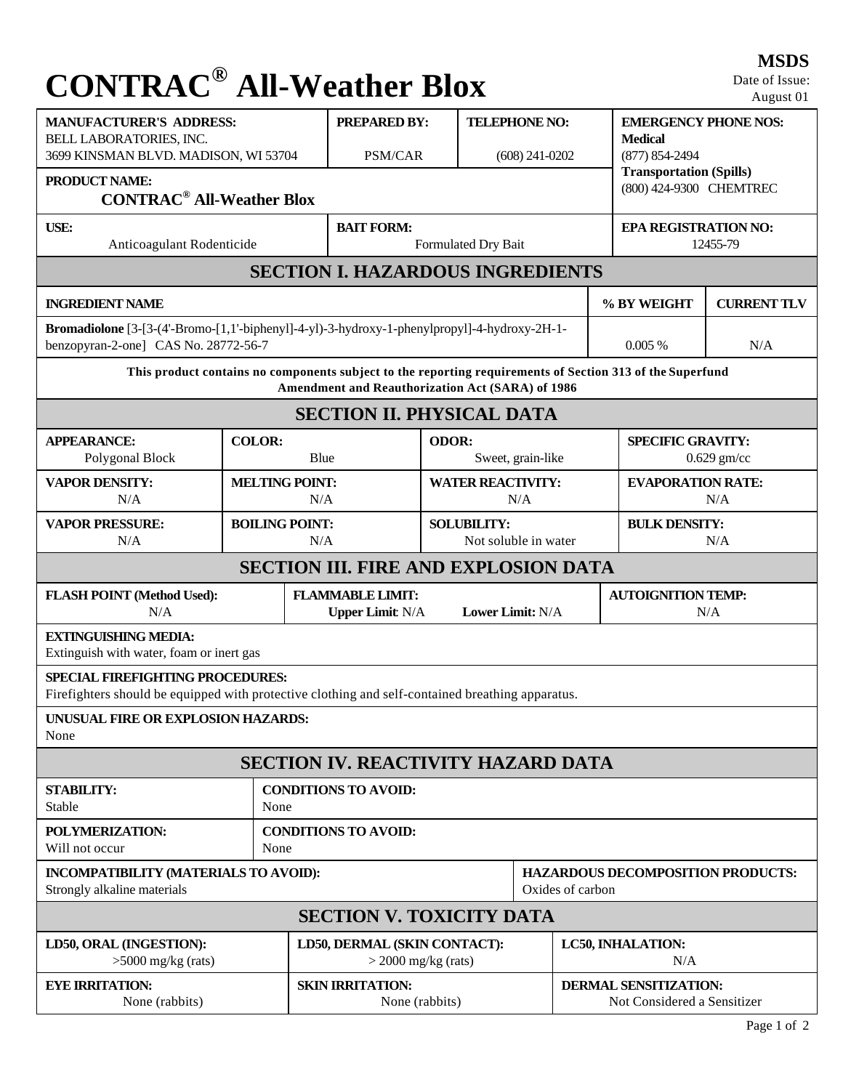## **CONTRAC® All-Weather Blox**

**MSDS** Date of Issue: August 01

| <b>MANUFACTURER'S ADDRESS:</b><br>BELL LABORATORIES, INC.                                                                                                            |                       | <b>PREPARED BY:</b>                                                    |                     | <b>TELEPHONE NO:</b>            |                                                             |                                                           | <b>EMERGENCY PHONE NOS:</b><br><b>Medical</b><br>(877) 854-2494 |     |  |  |
|----------------------------------------------------------------------------------------------------------------------------------------------------------------------|-----------------------|------------------------------------------------------------------------|---------------------|---------------------------------|-------------------------------------------------------------|-----------------------------------------------------------|-----------------------------------------------------------------|-----|--|--|
| 3699 KINSMAN BLVD. MADISON, WI 53704                                                                                                                                 |                       |                                                                        | PSM/CAR             | $(608)$ 241-0202                |                                                             |                                                           |                                                                 |     |  |  |
| <b>PRODUCT NAME:</b>                                                                                                                                                 |                       |                                                                        |                     |                                 |                                                             | <b>Transportation (Spills)</b><br>(800) 424-9300 CHEMTREC |                                                                 |     |  |  |
| <b>CONTRAC<sup>®</sup> All-Weather Blox</b>                                                                                                                          |                       |                                                                        |                     |                                 |                                                             |                                                           |                                                                 |     |  |  |
| <b>USE:</b>                                                                                                                                                          |                       | <b>BAIT FORM:</b>                                                      |                     |                                 |                                                             |                                                           | EPA REGISTRATION NO:                                            |     |  |  |
| Anticoagulant Rodenticide                                                                                                                                            |                       |                                                                        | Formulated Dry Bait |                                 |                                                             | 12455-79                                                  |                                                                 |     |  |  |
| <b>SECTION I. HAZARDOUS INGREDIENTS</b>                                                                                                                              |                       |                                                                        |                     |                                 |                                                             |                                                           |                                                                 |     |  |  |
| <b>INGREDIENT NAME</b>                                                                                                                                               |                       |                                                                        |                     |                                 |                                                             | % BY WEIGHT                                               | <b>CURRENT TLV</b>                                              |     |  |  |
| Bromadiolone [3-[3-(4'-Bromo-[1,1'-biphenyl]-4-yl)-3-hydroxy-1-phenylpropyl]-4-hydroxy-2H-1-<br>benzopyran-2-one] CAS No. 28772-56-7                                 |                       |                                                                        |                     |                                 |                                                             |                                                           | 0.005%                                                          | N/A |  |  |
| This product contains no components subject to the reporting requirements of Section 313 of the Superfund<br><b>Amendment and Reauthorization Act (SARA) of 1986</b> |                       |                                                                        |                     |                                 |                                                             |                                                           |                                                                 |     |  |  |
| <b>SECTION II. PHYSICAL DATA</b>                                                                                                                                     |                       |                                                                        |                     |                                 |                                                             |                                                           |                                                                 |     |  |  |
| <b>APPEARANCE:</b>                                                                                                                                                   |                       | <b>ODOR:</b>                                                           |                     |                                 |                                                             | <b>SPECIFIC GRAVITY:</b>                                  |                                                                 |     |  |  |
| Polygonal Block                                                                                                                                                      |                       | <b>COLOR:</b><br>Blue                                                  |                     | Sweet, grain-like               |                                                             |                                                           | $0.629$ gm/cc                                                   |     |  |  |
| <b>VAPOR DENSITY:</b><br>N/A                                                                                                                                         | <b>MELTING POINT:</b> | N/A                                                                    |                     | <b>WATER REACTIVITY:</b><br>N/A |                                                             |                                                           | <b>EVAPORATION RATE:</b><br>N/A                                 |     |  |  |
| <b>VAPOR PRESSURE:</b>                                                                                                                                               | <b>BOILING POINT:</b> |                                                                        |                     | <b>SOLUBILITY:</b>              |                                                             |                                                           | <b>BULK DENSITY:</b>                                            |     |  |  |
| N/A                                                                                                                                                                  |                       | N/A                                                                    |                     |                                 | Not soluble in water                                        |                                                           | N/A                                                             |     |  |  |
| <b>SECTION III. FIRE AND EXPLOSION DATA</b>                                                                                                                          |                       |                                                                        |                     |                                 |                                                             |                                                           |                                                                 |     |  |  |
| <b>FLASH POINT (Method Used):</b><br>N/A                                                                                                                             |                       | <b>FLAMMABLE LIMIT:</b><br>Lower Limit: N/A<br><b>Upper Limit: N/A</b> |                     |                                 | <b>AUTOIGNITION TEMP:</b><br>N/A                            |                                                           |                                                                 |     |  |  |
| <b>EXTINGUISHING MEDIA:</b><br>Extinguish with water, foam or inert gas                                                                                              |                       |                                                                        |                     |                                 |                                                             |                                                           |                                                                 |     |  |  |
| <b>SPECIAL FIREFIGHTING PROCEDURES:</b><br>Firefighters should be equipped with protective clothing and self-contained breathing apparatus.                          |                       |                                                                        |                     |                                 |                                                             |                                                           |                                                                 |     |  |  |
| UNUSUAL FIRE OR EXPLOSION HAZARDS:                                                                                                                                   |                       |                                                                        |                     |                                 |                                                             |                                                           |                                                                 |     |  |  |
| None                                                                                                                                                                 |                       |                                                                        |                     |                                 |                                                             |                                                           |                                                                 |     |  |  |
| <b>SECTION IV. REACTIVITY HAZARD DATA</b>                                                                                                                            |                       |                                                                        |                     |                                 |                                                             |                                                           |                                                                 |     |  |  |
| <b>STABILITY:</b><br>Stable                                                                                                                                          |                       | <b>CONDITIONS TO AVOID:</b><br>None                                    |                     |                                 |                                                             |                                                           |                                                                 |     |  |  |
| POLYMERIZATION:<br>Will not occur                                                                                                                                    |                       | <b>CONDITIONS TO AVOID:</b><br>None                                    |                     |                                 |                                                             |                                                           |                                                                 |     |  |  |
| INCOMPATIBILITY (MATERIALS TO AVOID):<br>Strongly alkaline materials                                                                                                 |                       |                                                                        |                     | Oxides of carbon                |                                                             |                                                           | <b>HAZARDOUS DECOMPOSITION PRODUCTS:</b>                        |     |  |  |
| <b>SECTION V. TOXICITY DATA</b>                                                                                                                                      |                       |                                                                        |                     |                                 |                                                             |                                                           |                                                                 |     |  |  |
| LD50, ORAL (INGESTION):<br>$>5000$ mg/kg (rats)                                                                                                                      |                       | LD50, DERMAL (SKIN CONTACT):<br>$>$ 2000 mg/kg (rats)                  |                     |                                 | LC50, INHALATION:<br>N/A                                    |                                                           |                                                                 |     |  |  |
| <b>EYE IRRITATION:</b><br>None (rabbits)                                                                                                                             |                       | <b>SKIN IRRITATION:</b><br>None (rabbits)                              |                     |                                 | <b>DERMAL SENSITIZATION:</b><br>Not Considered a Sensitizer |                                                           |                                                                 |     |  |  |